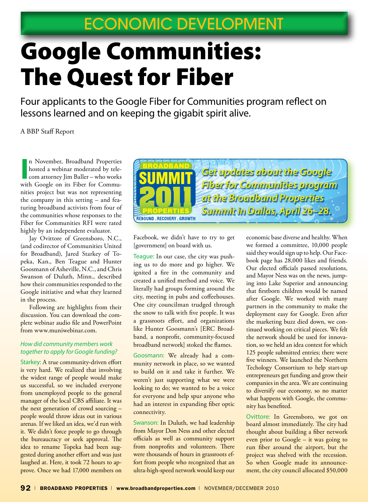# Google Communities: The Quest for Fiber

Four applicants to the Google Fiber for Communities program reflect on lessons learned and on keeping the gigabit spirit alive.

A BBP Staff Report

In November, Broadband Properties<br>hosted a webinar moderated by tele-<br>com attorney Jim Baller – who works<br>with Google on its Fiber for Commun November, Broadband Properties hosted a webinar moderated by telecom attorney Jim Baller – who works nities project but was not representing the company in this setting – and featuring broadband activists from four of the communities whose responses to the Fiber for Communities RFI were rated highly by an independent evaluator.

Jay Ovittore of Greensboro, N.C., (and codirector of Communities United for Broadband), Jared Starkey of Topeka, Kan., Ben Teague and Hunter Goosmann of Asheville, N.C., and Chris Swanson of Duluth, Minn., described how their communities responded to the Google initiative and what they learned in the process.

Following are highlights from their discussion. You can download the complete webinar audio file and PowerPoint from www.muniwebinar.com.

#### *How did community members work together to apply for Google funding?*

Starkey: A true community-driven effort is very hard. We realized that involving the widest range of people would make us successful, so we included everyone from unemployed people to the general manager of the local CBS affiliate. It was the next generation of crowd sourcing – people would throw ideas out in various arenas. If we liked an idea, we'd run with it. We didn't force people to go through the bureaucracy or seek approval. The idea to rename Topeka had been suggested during another effort and was just laughed at. Here, it took 72 hours to approve. Once we had 17,000 members on



Facebook, we didn't have to try to get [government] on board with us.

Teague: In our case, the city was pushing us to do more and go higher. We ignited a fire in the community and created a unified method and voice. We literally had groups forming around the city, meeting in pubs and coffeehouses. One city councilman trudged through the snow to talk with five people. It was a grassroots effort, and organizations like Hunter Goosmann's [ERC Broadband, a nonprofit, community-focused broadband network] stoked the flames.

Goosmann: We already had a community network in place, so we wanted to build on it and take it further. We weren't just supporting what we were looking to do; we wanted to be a voice for everyone and help spur anyone who had an interest in expanding fiber optic connectivity.

Swanson: In Duluth, we had leadership from Mayor Don Ness and other elected officials as well as community support from nonprofits and volunteers. There were thousands of hours in grassroots effort from people who recognized that an ultra-high-speed network would keep our

economic base diverse and healthy. When we formed a committee, 10,000 people said they would sign up to help. Our Facebook page has 28,000 likes and friends. Our elected officials passed resolutions, and Mayor Ness was on the news, jumping into Lake Superior and announcing that firstborn children would be named after Google. We worked with many partners in the community to make the deployment easy for Google. Even after the marketing buzz died down, we continued working on critical pieces. We felt the network should be used for innovation, so we held an idea contest for which 125 people submitted entries; there were five winners. We launched the Northern Techology Consortium to help start-up entrepreneurs get funding and grow their companies in the area. We are continuing to diversify our economy, so no matter what happens with Google, the community has benefited.

Ovittore: In Greensboro, we got on board almost immediately. The city had thought about building a fiber network even prior to Google – it was going to run fiber around the airport, but the project was shelved with the recession. So when Google made its announcement, the city council allocated \$50,000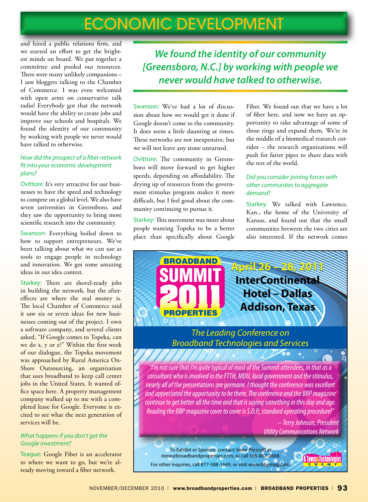and hired a public relations firm, and we started an effort to get the brightest minds on board. We put together a committee and pooled our resources. There were many unlikely companions – I saw bloggers talking to the Chamber of Commerce. I was even welcomed with open arms on conservative talk radio! Everybody got that the network would have the ability to create jobs and improve our schools and hospitals. We found the identity of our community by working with people we never would have talked to otherwise.

### *How did the prospect of a fiber network fit into your economic development plans?*

Ovittore: It's very attractive for our businesses to have the speed and technology to compete on a global level. We also have seven universities in Greensboro, and they saw the opportunity to bring more scientific research into the community.

Swanson: Everything boiled down to how to support entrepreneurs. We've been talking about what we can use as tools to engage people in technology and innovation. We got some amazing ideas in our idea contest.

Starkey: There are shovel-ready jobs in building the network, but the aftereffects are where the real money is. The local Chamber of Commerce said it saw six or seven ideas for new businesses coming out of the project. I own a software company, and several clients asked, "If Google comes to Topeka, can we do x, y or z?" Within the first week of our dialogue, the Topeka movement was approached by Rural America On-Shore Outsourcing, an organization that uses broadband to keep call center jobs in the United States. It wanted office space here. A property management company walked up to me with a completed lease for Google. Everyone is excited to see what the next generation of services will be.

## *What happens if you don't get the Google investment?*

Teague: Google Fiber is an accelerator to where we want to go, but we're already moving toward a fiber network.

*We found the identity of our community [Greensboro, N.C.] by working with people we never would have talked to otherwise.* 

Swanson: We've had a lot of discussion about how we would get it done if Google doesn't come to the community. It does seem a little daunting at times. These networks are not inexpensive, but we will not leave any stone unturned.

Ovittore: The community in Greensboro will move forward to get higher speeds, depending on affordability. The drying up of resources from the government stimulus program makes it more difficult, but I feel good about the community continuing to pursue it.

Starkey: This movement was more about people wanting Topeka to be a better place than specifically about Google Fiber. We found out that we have a lot of fiber here, and now we have an opportunity to take advantage of some of those rings and expand them. We're in the middle of a biomedical research corridor – the research organizations will push for fatter pipes to share data with the rest of the world.

# *Did you consider joining forces with other communties to aggregate demand?*

Starkey: We talked with Lawrence, Kan., the home of the University of Kansas, and found out that the small communities between the two cities are also interested. If the network comes